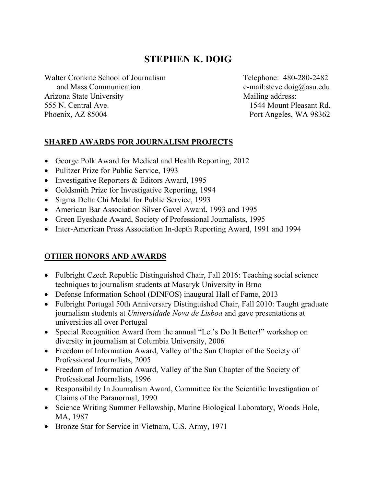# **STEPHEN K. DOIG**

Walter Cronkite School of Journalism Telephone: 480-280-2482 and Mass Communication e-mail:steve.doig@asu.edu Arizona State University Mailing address: 555 N. Central Ave. 1544 Mount Pleasant Rd. Phoenix, AZ 85004 Port Angeles, WA 98362

## **SHARED AWARDS FOR JOURNALISM PROJECTS**

- George Polk Award for Medical and Health Reporting, 2012
- Pulitzer Prize for Public Service, 1993
- Investigative Reporters & Editors Award, 1995
- Goldsmith Prize for Investigative Reporting, 1994
- Sigma Delta Chi Medal for Public Service, 1993
- American Bar Association Silver Gavel Award, 1993 and 1995
- Green Eyeshade Award, Society of Professional Journalists, 1995
- Inter-American Press Association In-depth Reporting Award, 1991 and 1994

# **OTHER HONORS AND AWARDS**

- Fulbright Czech Republic Distinguished Chair, Fall 2016: Teaching social science techniques to journalism students at Masaryk University in Brno
- Defense Information School (DINFOS) inaugural Hall of Fame, 2013
- Fulbright Portugal 50th Anniversary Distinguished Chair, Fall 2010: Taught graduate journalism students at *Universidade Nova de Lisboa* and gave presentations at universities all over Portugal
- Special Recognition Award from the annual "Let's Do It Better!" workshop on diversity in journalism at Columbia University, 2006
- Freedom of Information Award, Valley of the Sun Chapter of the Society of Professional Journalists, 2005
- Freedom of Information Award, Valley of the Sun Chapter of the Society of Professional Journalists, 1996
- Responsibility In Journalism Award, Committee for the Scientific Investigation of Claims of the Paranormal, 1990
- Science Writing Summer Fellowship, Marine Biological Laboratory, Woods Hole, MA, 1987
- Bronze Star for Service in Vietnam, U.S. Army, 1971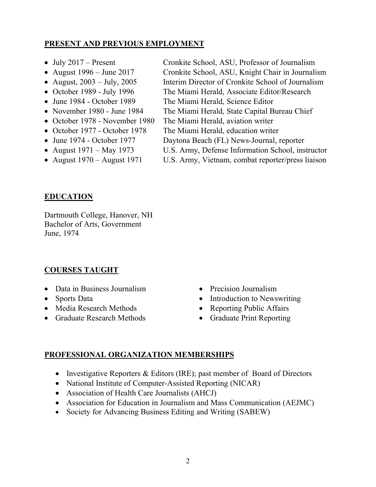## **PRESENT AND PREVIOUS EMPLOYMENT**

- 
- 
- 
- 
- 
- 
- 
- 
- 
- 
- 
- July 2017 Present Cronkite School, ASU, Professor of Journalism
- August 1996 June 2017 Cronkite School, ASU, Knight Chair in Journalism
- August, 2003 July, 2005 Interim Director of Cronkite School of Journalism
- October 1989 July 1996 The Miami Herald, Associate Editor/Research
- June 1984 October 1989 The Miami Herald, Science Editor
- November 1980 June 1984 The Miami Herald, State Capital Bureau Chief
- October 1978 November 1980 The Miami Herald, aviation writer
- October 1977 October 1978 The Miami Herald, education writer
- June 1974 October 1977 Daytona Beach (FL) News-Journal, reporter
- August 1971 May 1973 U.S. Army, Defense Information School, instructor
- August 1970 August 1971 U.S. Army, Vietnam, combat reporter/press liaison

## **EDUCATION**

Dartmouth College, Hanover, NH Bachelor of Arts, Government June, 1974

#### **COURSES TAUGHT**

- Data in Business Journalism
- Sports Data
- Media Research Methods
- Graduate Research Methods
- Precision Journalism
- Introduction to Newswriting
- Reporting Public Affairs
- Graduate Print Reporting

#### **PROFESSIONAL ORGANIZATION MEMBERSHIPS**

- Investigative Reporters & Editors (IRE); past member of Board of Directors
- National Institute of Computer-Assisted Reporting (NICAR)
- Association of Health Care Journalists (AHCJ)
- Association for Education in Journalism and Mass Communication (AEJMC)
- Society for Advancing Business Editing and Writing (SABEW)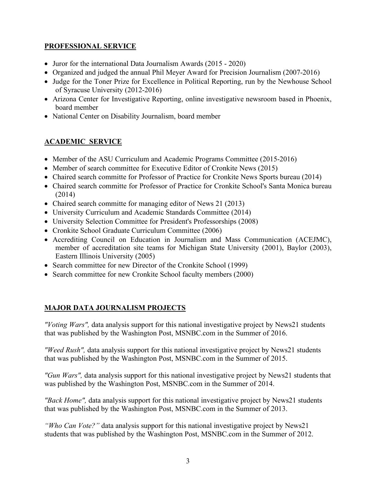#### **PROFESSIONAL SERVICE**

- Juror for the international Data Journalism Awards (2015 2020)
- Organized and judged the annual Phil Meyer Award for Precision Journalism (2007-2016)
- Judge for the Toner Prize for Excellence in Political Reporting, run by the Newhouse School of Syracuse University (2012-2016)
- Arizona Center for Investigative Reporting, online investigative newsroom based in Phoenix, board member
- National Center on Disability Journalism, board member

## **ACADEMIC SERVICE**

- Member of the ASU Curriculum and Academic Programs Committee (2015-2016)
- Member of search committee for Executive Editor of Cronkite News (2015)
- Chaired search committe for Professor of Practice for Cronkite News Sports bureau (2014)
- Chaired search committe for Professor of Practice for Cronkite School's Santa Monica bureau (2014)
- Chaired search committe for managing editor of News 21 (2013)
- University Curriculum and Academic Standards Committee (2014)
- University Selection Committee for President's Professorships (2008)
- Cronkite School Graduate Curriculum Committee (2006)
- Accrediting Council on Education in Journalism and Mass Communication (ACEJMC), member of accreditation site teams for Michigan State University (2001), Baylor (2003), Eastern Illinois University (2005)
- Search committee for new Director of the Cronkite School (1999)
- Search committee for new Cronkite School faculty members (2000)

#### **MAJOR DATA JOURNALISM PROJECTS**

*"Voting Wars",* data analysis support for this national investigative project by News21 students that was published by the Washington Post, MSNBC.com in the Summer of 2016.

*"Weed Rush",* data analysis support for this national investigative project by News21 students that was published by the Washington Post, MSNBC.com in the Summer of 2015.

*"Gun Wars",* data analysis support for this national investigative project by News21 students that was published by the Washington Post, MSNBC.com in the Summer of 2014.

*"Back Home",* data analysis support for this national investigative project by News21 students that was published by the Washington Post, MSNBC.com in the Summer of 2013.

*"Who Can Vote?"* data analysis support for this national investigative project by News21 students that was published by the Washington Post, MSNBC.com in the Summer of 2012.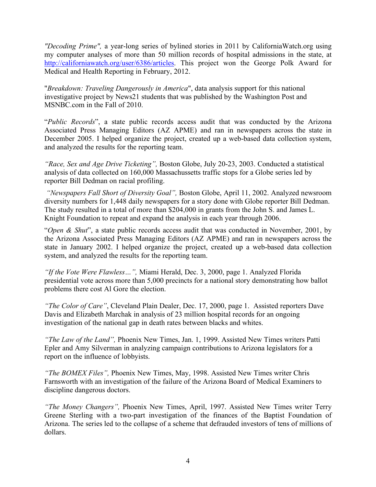*"Decoding Prime",* a year-long series of bylined stories in 2011 by CaliforniaWatch.org using my computer analyses of more than 50 million records of hospital admissions in the state, at http://californiawatch.org/user/6386/articles. This project won the George Polk Award for Medical and Health Reporting in February, 2012.

"*Breakdown: Traveling Dangerously in America*", data analysis support for this national investigative project by News21 students that was published by the Washington Post and MSNBC.com in the Fall of 2010.

"*Public Records*", a state public records access audit that was conducted by the Arizona Associated Press Managing Editors (AZ APME) and ran in newspapers across the state in December 2005. I helped organize the project, created up a web-based data collection system, and analyzed the results for the reporting team.

*"Race, Sex and Age Drive Ticketing",* Boston Globe, July 20-23, 2003. Conducted a statistical analysis of data collected on 160,000 Massachussetts traffic stops for a Globe series led by reporter Bill Dedman on racial profiling.

*"Newspapers Fall Short of Diversity Goal",* Boston Globe, April 11, 2002. Analyzed newsroom diversity numbers for 1,448 daily newspapers for a story done with Globe reporter Bill Dedman. The study resulted in a total of more than \$204,000 in grants from the John S. and James L. Knight Foundation to repeat and expand the analysis in each year through 2006.

"*Open & Shut*", a state public records access audit that was conducted in November, 2001, by the Arizona Associated Press Managing Editors (AZ APME) and ran in newspapers across the state in January 2002. I helped organize the project, created up a web-based data collection system, and analyzed the results for the reporting team.

*"If the Vote Were Flawless…",* Miami Herald, Dec. 3, 2000, page 1. Analyzed Florida presidential vote across more than 5,000 precincts for a national story demonstrating how ballot problems there cost Al Gore the election.

*"The Color of Care"*, Cleveland Plain Dealer, Dec. 17, 2000, page 1. Assisted reporters Dave Davis and Elizabeth Marchak in analysis of 23 million hospital records for an ongoing investigation of the national gap in death rates between blacks and whites.

*"The Law of the Land",* Phoenix New Times, Jan. 1, 1999. Assisted New Times writers Patti Epler and Amy Silverman in analyzing campaign contributions to Arizona legislators for a report on the influence of lobbyists.

*"The BOMEX Files",* Phoenix New Times, May, 1998. Assisted New Times writer Chris Farnsworth with an investigation of the failure of the Arizona Board of Medical Examiners to discipline dangerous doctors.

*"The Money Changers",* Phoenix New Times, April, 1997. Assisted New Times writer Terry Greene Sterling with a two-part investigation of the finances of the Baptist Foundation of Arizona. The series led to the collapse of a scheme that defrauded investors of tens of millions of dollars.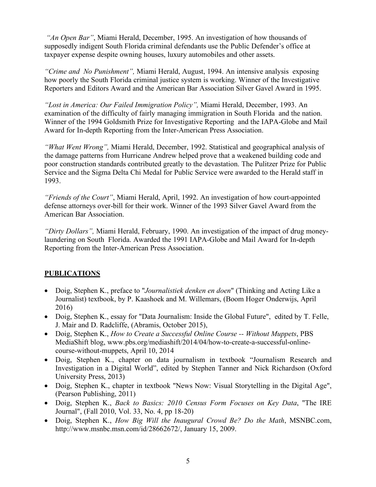*"An Open Bar"*, Miami Herald, December, 1995. An investigation of how thousands of supposedly indigent South Florida criminal defendants use the Public Defender's office at taxpayer expense despite owning houses, luxury automobiles and other assets.

*"Crime and No Punishment",* Miami Herald, August, 1994. An intensive analysis exposing how poorly the South Florida criminal justice system is working. Winner of the Investigative Reporters and Editors Award and the American Bar Association Silver Gavel Award in 1995.

*"Lost in America: Our Failed Immigration Policy",* Miami Herald, December, 1993. An examination of the difficulty of fairly managing immigration in South Florida and the nation. Winner of the 1994 Goldsmith Prize for Investigative Reporting and the IAPA-Globe and Mail Award for In-depth Reporting from the Inter-American Press Association.

*"What Went Wrong",* Miami Herald, December, 1992. Statistical and geographical analysis of the damage patterns from Hurricane Andrew helped prove that a weakened building code and poor construction standards contributed greatly to the devastation. The Pulitzer Prize for Public Service and the Sigma Delta Chi Medal for Public Service were awarded to the Herald staff in 1993.

*"Friends of the Court"*, Miami Herald, April, 1992. An investigation of how court-appointed defense attorneys over-bill for their work. Winner of the 1993 Silver Gavel Award from the American Bar Association.

*"Dirty Dollars",* Miami Herald, February, 1990. An investigation of the impact of drug moneylaundering on South Florida. Awarded the 1991 IAPA-Globe and Mail Award for In-depth Reporting from the Inter-American Press Association.

#### **PUBLICATIONS**

- Doig, Stephen K., preface to "*Journalistiek denken en doen*" (Thinking and Acting Like a Journalist) textbook, by P. Kaashoek and M. Willemars, (Boom Hoger Onderwijs, April 2016)
- Doig, Stephen K., essay for "Data Journalism: Inside the Global Future", edited by T. Felle, J. Mair and D. Radcliffe, (Abramis, October 2015),
- Doig, Stephen K., *How to Create a Successful Online Course -- Without Muppets*, PBS MediaShift blog, www.pbs.org/mediashift/2014/04/how-to-create-a-successful-onlinecourse-without-muppets, April 10, 2014
- Doig, Stephen K., chapter on data journalism in textbook "Journalism Research and Investigation in a Digital World", edited by Stephen Tanner and Nick Richardson (Oxford University Press, 2013)
- Doig, Stephen K., chapter in textbook "News Now: Visual Storytelling in the Digital Age", (Pearson Publishing, 2011)
- Doig, Stephen K., *Back to Basics: 2010 Census Form Focuses on Key Data*, "The IRE Journal", (Fall 2010, Vol. 33, No. 4, pp 18-20)
- Doig, Stephen K., *How Big Will the Inaugural Crowd Be? Do the Math*, MSNBC.com, http://www.msnbc.msn.com/id/28662672/, January 15, 2009.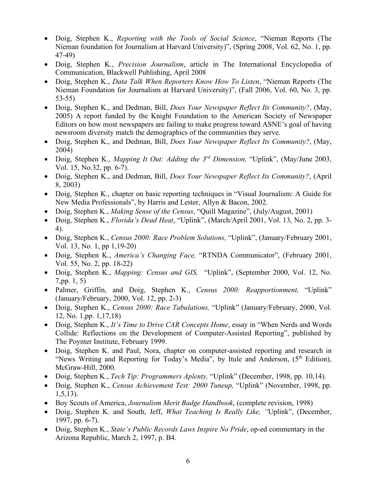- Doig, Stephen K., *Reporting with the Tools of Social Science*, "Nieman Reports (The Nieman foundation for Journalism at Harvard University)", (Spring 2008, Vol. 62, No. 1, pp. 47-49)
- Doig, Stephen K., *Precision Journalism*, article in The International Encyclopedia of Communication, Blackwell Publishing, April 2008
- Doig, Stephen K., *Data Talk When Reporters Know How To Listen*, "Nieman Reports (The Nieman Foundation for Journalism at Harvard University)", (Fall 2006, Vol. 60, No. 3, pp. 53-55)
- Doig, Stephen K., and Dedman, Bill, *Does Your Newspaper Reflect Its Community?*, (May, 2005) A report funded by the Knight Foundation to the American Society of Newspaper Editors on how most newspapers are failing to make progress toward ASNE's goal of having newsroom diversity match the demographics of the communities they serve.
- Doig, Stephen K., and Dedman, Bill, *Does Your Newspaper Reflect Its Community?*, (May, 2004)
- Doig, Stephen K., *Mapping It Out: Adding the 3rd Dimension,* "Uplink", (May/June 2003, Vol. 15, No.32, pp. 6-7).
- Doig, Stephen K., and Dedman, Bill, *Does Your Newspaper Reflect Its Community?*, (April 8, 2003)
- Doig, Stephen K., chapter on basic reporting techniques in "Visual Journalism: A Guide for New Media Professionals", by Harris and Lester, Allyn & Bacon, 2002.
- Doig, Stephen K., *Making Sense of the Census*, "Quill Magazine", (July/August, 2001)
- Doig, Stephen K., *Florida's Dead Heat*, "Uplink", (March/April 2001, Vol. 13, No. 2, pp. 3- 4).
- Doig, Stephen K., *Census 2000: Race Problem Solutions*, "Uplink", (January/February 2001, Vol. 13, No. 1, pp 1,19-20)
- Doig, Stephen K., *America's Changing Face,* "RTNDA Communicator", (February 2001, Vol. 55, No. 2, pp. 18-22)
- Doig, Stephen K., *Mapping: Census and GIS,* "Uplink", (September 2000, Vol. 12, No. 7,pp. 1, 5)
- Palmer, Griffin, and Doig, Stephen K., *Census 2000: Reapportionment,* "Uplink" (January/February, 2000, Vol. 12, pp. 2-3)
- Doig, Stephen K., *Census 2000: Race Tabulations,* "Uplink" (January/February, 2000, Vol. 12, No. 1,pp. 1,17,18)
- Doig, Stephen K., *It's Time to Drive CAR Concepts Home*, essay in "When Nerds and Words Collide: Reflections on the Development of Computer-Assisted Reporting", published by The Poynter Institute, February 1999.
- Doig, Stephen K. and Paul, Nora, chapter on computer-assisted reporting and research in "News Writing and Reporting for Today's Media", by Itule and Anderson, (5<sup>th</sup> Edition), McGraw-Hill, 2000.
- Doig, Stephen K., *Tech Tip: Programmers Aplenty,* "Uplink" (December, 1998, pp. 10,14).
- Doig, Stephen K., *Census Achievement Test: 2000 Tuneup,* "Uplink" (November, 1998, pp. 1,5,13).
- Boy Scouts of America, *Journalism Merit Badge Handbook*, (complete revision, 1998)
- Doig, Stephen K. and South, Jeff, *What Teaching Is Really Like, "*Uplink", (December, 1997, pp. 6-7).
- Doig, Stephen K., *State's Public Records Laws Inspire No Pride*, op-ed commentary in the Arizona Republic, March 2, 1997, p. B4.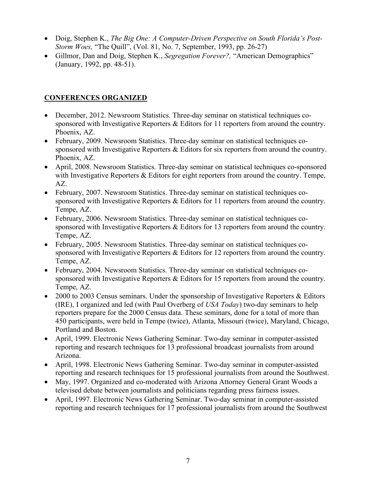- Doig, Stephen K., *The Big One: A Computer-Driven Perspective on South Florida's Post-Storm Woes,* "The Quill", (Vol. 81, No. 7, September, 1993, pp. 26-27)
- Gillmor, Dan and Doig, Stephen K., *Segregation Forever?,* "American Demographics" (January, 1992, pp. 48-51).

#### **CONFERENCES ORGANIZED**

- December, 2012. Newsroom Statistics. Three-day seminar on statistical techniques cosponsored with Investigative Reporters & Editors for 11 reporters from around the country. Phoenix, AZ.
- February, 2009. Newsroom Statistics. Three-day seminar on statistical techniques cosponsored with Investigative Reporters & Editors for six reporters from around the country. Phoenix, AZ.
- April, 2008. Newsroom Statistics. Three-day seminar on statistical techniques co-sponsored with Investigative Reporters & Editors for eight reporters from around the country. Tempe, AZ.
- February, 2007. Newsroom Statistics. Three-day seminar on statistical techniques cosponsored with Investigative Reporters & Editors for 11 reporters from around the country. Tempe, AZ.
- February, 2006. Newsroom Statistics. Three-day seminar on statistical techniques cosponsored with Investigative Reporters & Editors for 13 reporters from around the country. Tempe, AZ.
- February, 2005. Newsroom Statistics. Three-day seminar on statistical techniques cosponsored with Investigative Reporters & Editors for 12 reporters from around the country. Tempe, AZ.
- February, 2004. Newsroom Statistics. Three-day seminar on statistical techniques cosponsored with Investigative Reporters & Editors for 15 reporters from around the country. Tempe, AZ.
- 2000 to 2003 Census seminars. Under the sponsorship of Investigative Reporters & Editors (IRE), I organized and led (with Paul Overberg of *USA Today*) two-day seminars to help reporters prepare for the 2000 Census data. These seminars, done for a total of more than 450 participants, were held in Tempe (twice), Atlanta, Missouri (twice), Maryland, Chicago, Portland and Boston.
- April, 1999. Electronic News Gathering Seminar. Two-day seminar in computer-assisted reporting and research techniques for 13 professional broadcast journalists from around Arizona.
- April, 1998. Electronic News Gathering Seminar. Two-day seminar in computer-assisted reporting and research techniques for 15 professional journalists from around the Southwest.
- May, 1997. Organized and co-moderated with Arizona Attorney General Grant Woods a televised debate between journalists and politicians regarding press fairness issues.
- April, 1997. Electronic News Gathering Seminar. Two-day seminar in computer-assisted reporting and research techniques for 17 professional journalists from around the Southwest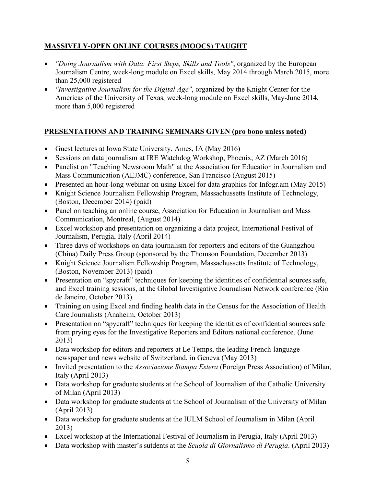## **MASSIVELY-OPEN ONLINE COURSES (MOOCS) TAUGHT**

- *"Doing Journalism with Data: First Steps, Skills and Tools"*, organized by the European Journalism Centre, week-long module on Excel skills, May 2014 through March 2015, more than 25,000 registered
- *"Investigative Journalism for the Digital Age"*, organized by the Knight Center for the Americas of the University of Texas, week-long module on Excel skills, May-June 2014, more than 5,000 registered

#### **PRESENTATIONS AND TRAINING SEMINARS GIVEN (pro bono unless noted)**

- Guest lectures at Iowa State University, Ames, IA (May 2016)
- Sessions on data journalism at IRE Watchdog Workshop, Phoenix, AZ (March 2016)
- Panelist on "Teaching Newsroom Math" at the Association for Education in Journalism and Mass Communication (AEJMC) conference, San Francisco (August 2015)
- Presented an hour-long webinar on using Excel for data graphics for Infogr.am (May 2015)
- Knight Science Journalism Fellowship Program, Massachussetts Institute of Technology, (Boston, December 2014) (paid)
- Panel on teaching an online course, Association for Education in Journalism and Mass Communication, Montreal, (August 2014)
- Excel workshop and presentation on organizing a data project, International Festival of Journalism, Perugia, Italy (April 2014)
- Three days of workshops on data journalism for reporters and editors of the Guangzhou (China) Daily Press Group (sponsored by the Thomson Foundation, December 2013)
- Knight Science Journalism Fellowship Program, Massachussetts Institute of Technology, (Boston, November 2013) (paid)
- Presentation on "spycraft" techniques for keeping the identities of confidential sources safe, and Excel training sessions, at the Global Investigative Journalism Network conference (Rio de Janeiro, October 2013)
- Training on using Excel and finding health data in the Census for the Association of Health Care Journalists (Anaheim, October 2013)
- Presentation on "spycraft" techniques for keeping the identities of confidential sources safe from prying eyes for the Investigative Reporters and Editors national conference. (June 2013)
- Data workshop for editors and reporters at Le Temps, the leading French-language newspaper and news website of Switzerland, in Geneva (May 2013)
- Invited presentation to the *Associazione Stampa Estera* (Foreign Press Association) of Milan, Italy (April 2013)
- Data workshop for graduate students at the School of Journalism of the Catholic University of Milan (April 2013)
- Data workshop for graduate students at the School of Journalism of the University of Milan (April 2013)
- Data workshop for graduate students at the IULM School of Journalism in Milan (April 2013)
- Excel workshop at the International Festival of Journalism in Perugia, Italy (April 2013)
- Data workshop with master's sutdents at the *Scuola di Giornalismo di Perugia*. (April 2013)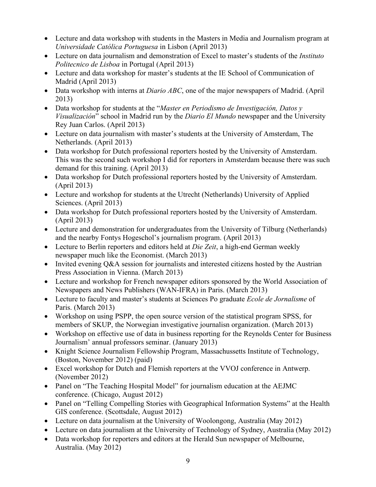- Lecture and data workshop with students in the Masters in Media and Journalism program at *Universidade Católica Portuguesa* in Lisbon (April 2013)
- Lecture on data journalism and demonstration of Excel to master's students of the *Instituto Politecnico de Lisboa* in Portugal (April 2013)
- Lecture and data workshop for master's students at the IE School of Communication of Madrid (April 2013)
- Data workshop with interns at *Diario ABC*, one of the major newspapers of Madrid. (April 2013)
- Data workshop for students at the "*Master en Periodismo de Investigación, Datos y Visualización*" school in Madrid run by the *Diario El Mundo* newspaper and the University Rey Juan Carlos. (April 2013)
- Lecture on data journalism with master's students at the University of Amsterdam, The Netherlands. (April 2013)
- Data workshop for Dutch professional reporters hosted by the University of Amsterdam. This was the second such workshop I did for reporters in Amsterdam because there was such demand for this training. (April 2013)
- Data workshop for Dutch professional reporters hosted by the University of Amsterdam. (April 2013)
- Lecture and workshop for students at the Utrecht (Netherlands) University of Applied Sciences. (April 2013)
- Data workshop for Dutch professional reporters hosted by the University of Amsterdam. (April 2013)
- Lecture and demonstration for undergraduates from the University of Tilburg (Netherlands) and the nearby Fontys Hogeschol's journalism program. (April 2013)
- Lecture to Berlin reporters and editors held at *Die Zeit*, a high-end German weekly newspaper much like the Economist. (March 2013)
- Invited evening Q&A session for journalists and interested citizens hosted by the Austrian Press Association in Vienna. (March 2013)
- Lecture and workshop for French newspaper editors sponsored by the World Association of Newspapers and News Publishers (WAN-IFRA) in Paris. (March 2013)
- Lecture to faculty and master's students at Sciences Po graduate *Ecole de Jornalisme* of Paris. (March 2013)
- Workshop on using PSPP, the open source version of the statistical program SPSS, for members of SKUP, the Norwegian investigative journalisn organization. (March 2013)
- Workshop on effective use of data in business reporting for the Reynolds Center for Business Journalism' annual professors seminar. (January 2013)
- Knight Science Journalism Fellowship Program, Massachussetts Institute of Technology, (Boston, November 2012) (paid)
- Excel workshop for Dutch and Flemish reporters at the VVOJ conference in Antwerp. (November 2012)
- Panel on "The Teaching Hospital Model" for journalism education at the AEJMC conference. (Chicago, August 2012)
- Panel on "Telling Compelling Stories with Geographical Information Systems" at the Health GIS conference. (Scottsdale, August 2012)
- Lecture on data journalism at the University of Woolongong, Australia (May 2012)
- Lecture on data journalism at the University of Technology of Sydney, Australia (May 2012)
- Data workshop for reporters and editors at the Herald Sun newspaper of Melbourne, Australia. (May 2012)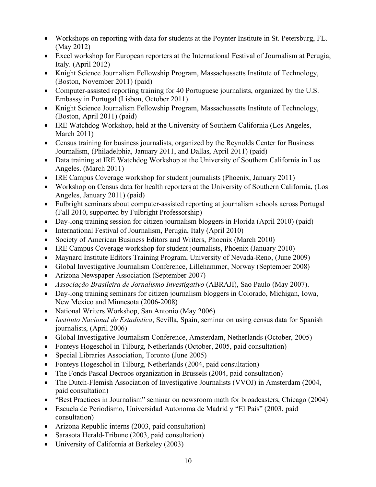- Workshops on reporting with data for students at the Poynter Institute in St. Petersburg, FL. (May 2012)
- Excel workshop for European reporters at the International Festival of Journalism at Perugia, Italy. (April 2012)
- Knight Science Journalism Fellowship Program, Massachussetts Institute of Technology, (Boston, November 2011) (paid)
- Computer-assisted reporting training for 40 Portuguese journalists, organized by the U.S. Embassy in Portugal (Lisbon, October 2011)
- Knight Science Journalism Fellowship Program, Massachussetts Institute of Technology, (Boston, April 2011) (paid)
- IRE Watchdog Workshop, held at the University of Southern California (Los Angeles, March 2011)
- Census training for business journalists, organized by the Reynolds Center for Business Journalism, (Philadelphia, January 2011, and Dallas, April 2011) (paid)
- Data training at IRE Watchdog Workshop at the University of Southern California in Los Angeles. (March 2011)
- IRE Campus Coverage workshop for student journalists (Phoenix, January 2011)
- Workshop on Census data for health reporters at the University of Southern California, (Los Angeles, January 2011) (paid)
- Fulbright seminars about computer-assisted reporting at journalism schools across Portugal (Fall 2010, supported by Fulbright Professorship)
- Day-long training session for citizen journalism bloggers in Florida (April 2010) (paid)
- International Festival of Journalism, Perugia, Italy (April 2010)
- Society of American Business Editors and Writers, Phoenix (March 2010)
- IRE Campus Coverage workshop for student journalists, Phoenix (January 2010)
- Maynard Institute Editors Training Program, University of Nevada-Reno, (June 2009)
- Global Investigative Journalism Conference, Lillehammer, Norway (September 2008)
- Arizona Newspaper Association (September 2007)
- *Associação Brasileira de Jornalismo Investigativo* (ABRAJI), Sao Paulo (May 2007).
- Day-long training seminars for citizen journalism bloggers in Colorado, Michigan, Iowa, New Mexico and Minnesota (2006-2008)
- National Writers Workshop, San Antonio (May 2006)
- *Instituto Nacional de Estadistica*, Sevilla, Spain, seminar on using census data for Spanish journalists, (April 2006)
- Global Investigative Journalism Conference, Amsterdam, Netherlands (October, 2005)
- Fonteys Hogeschol in Tilburg, Netherlands (October, 2005, paid consultation)
- Special Libraries Association, Toronto (June 2005)
- Fonteys Hogeschol in Tilburg, Netherlands (2004, paid consultation)
- The Fonds Pascal Decroos organization in Brussels (2004, paid consultation)
- The Dutch-Flemish Association of Investigative Journalists (VVOJ) in Amsterdam (2004, paid consultation)
- "Best Practices in Journalism" seminar on newsroom math for broadcasters, Chicago (2004)
- Escuela de Periodismo, Universidad Autonoma de Madrid y "El Pais" (2003, paid consultation)
- Arizona Republic interns (2003, paid consultation)
- Sarasota Herald-Tribune (2003, paid consultation)
- University of California at Berkeley (2003)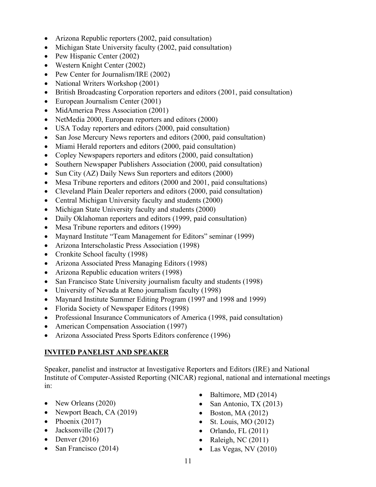- Arizona Republic reporters (2002, paid consultation)
- Michigan State University faculty (2002, paid consultation)
- Pew Hispanic Center (2002)
- Western Knight Center (2002)
- Pew Center for Journalism/IRE (2002)
- National Writers Workshop (2001)
- British Broadcasting Corporation reporters and editors (2001, paid consultation)
- European Journalism Center (2001)
- MidAmerica Press Association (2001)
- NetMedia 2000, European reporters and editors (2000)
- USA Today reporters and editors (2000, paid consultation)
- San Jose Mercury News reporters and editors (2000, paid consultation)
- Miami Herald reporters and editors (2000, paid consultation)
- Copley Newspapers reporters and editors (2000, paid consultation)
- Southern Newspaper Publishers Association (2000, paid consultation)
- Sun City (AZ) Daily News Sun reporters and editors (2000)
- Mesa Tribune reporters and editors (2000 and 2001, paid consultations)
- Cleveland Plain Dealer reporters and editors (2000, paid consultation)
- Central Michigan University faculty and students (2000)
- Michigan State University faculty and students (2000)
- Daily Oklahoman reporters and editors (1999, paid consultation)
- Mesa Tribune reporters and editors (1999)
- Maynard Institute "Team Management for Editors" seminar (1999)
- Arizona Interscholastic Press Association (1998)
- Cronkite School faculty (1998)
- Arizona Associated Press Managing Editors (1998)
- Arizona Republic education writers (1998)
- San Francisco State University journalism faculty and students (1998)
- University of Nevada at Reno journalism faculty (1998)
- Maynard Institute Summer Editing Program (1997 and 1998 and 1999)
- Florida Society of Newspaper Editors (1998)
- Professional Insurance Communicators of America (1998, paid consultation)
- American Compensation Association (1997)
- Arizona Associated Press Sports Editors conference (1996)

#### **INVITED PANELIST AND SPEAKER**

Speaker, panelist and instructor at Investigative Reporters and Editors (IRE) and National Institute of Computer-Assisted Reporting (NICAR) regional, national and international meetings in:

- New Orleans (2020)
- Newport Beach, CA (2019)
- Phoenix  $(2017)$
- Jacksonville (2017)
- Denver  $(2016)$
- San Francisco (2014)
- Baltimore, MD (2014)
- San Antonio, TX (2013)
- Boston, MA  $(2012)$
- St. Louis, MO (2012)
- Orlando, FL  $(2011)$
- Raleigh, NC  $(2011)$
- Las Vegas, NV (2010)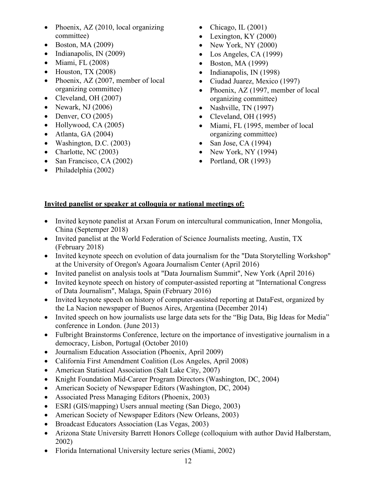- Phoenix, AZ (2010, local organizing committee)
- Boston, MA (2009)
- Indianapolis, IN (2009)
- Miami, FL  $(2008)$
- Houston, TX  $(2008)$
- Phoenix, AZ (2007, member of local organizing committee)
- Cleveland, OH (2007)
- Newark, NJ  $(2006)$
- Denver,  $CO(2005)$
- Hollywood, CA (2005)
- Atlanta, GA  $(2004)$
- Washington, D.C.  $(2003)$
- Charlotte, NC  $(2003)$
- San Francisco, CA (2002)
- Philadelphia (2002)
- Chicago, IL  $(2001)$
- Lexington, KY  $(2000)$
- New York, NY  $(2000)$
- Los Angeles, CA (1999)
- Boston, MA (1999)
- Indianapolis, IN (1998)
- Ciudad Juarez, Mexico (1997)
- Phoenix, AZ (1997, member of local organizing committee)
- Nashville, TN (1997)
- Cleveland, OH (1995)
- Miami, FL (1995, member of local organizing committee)
- San Jose, CA  $(1994)$
- New York, NY  $(1994)$
- Portland, OR (1993)

## **Invited panelist or speaker at colloquia or national meetings of:**

- Invited keynote panelist at Arxan Forum on intercultural communication, Inner Mongolia, China (Septemper 2018)
- Invited panelist at the World Federation of Science Journalists meeting, Austin, TX (February 2018)
- Invited keynote speech on evolution of data journalism for the "Data Storytelling Workshop" at the University of Oregon's Agoara Journalism Center (April 2016)
- Invited panelist on analysis tools at "Data Journalism Summit", New York (April 2016)
- Invited keynote speech on history of computer-assisted reporting at "International Congress of Data Journalism", Malaga, Spain (February 2016)
- Invited keynote speech on history of computer-assisted reporting at DataFest, organized by the La Nacion newspaper of Buenos Aires, Argentina (December 2014)
- Invited speech on how journalists use large data sets for the "Big Data, Big Ideas for Media" conference in London. (June 2013)
- Fulbright Brainstorms Conference, lecture on the importance of investigative journalism in a democracy, Lisbon, Portugal (October 2010)
- Journalism Education Association (Phoenix, April 2009)
- California First Amendment Coalition (Los Angeles, April 2008)
- American Statistical Association (Salt Lake City, 2007)
- Knight Foundation Mid-Career Program Directors (Washington, DC, 2004)
- American Society of Newspaper Editors (Washington, DC, 2004)
- Associated Press Managing Editors (Phoenix, 2003)
- ESRI (GIS/mapping) Users annual meeting (San Diego, 2003)
- American Society of Newspaper Editors (New Orleans, 2003)
- Broadcast Educators Association (Las Vegas, 2003)
- Arizona State University Barrett Honors College (colloquium with author David Halberstam, 2002)
- Florida International University lecture series (Miami, 2002)